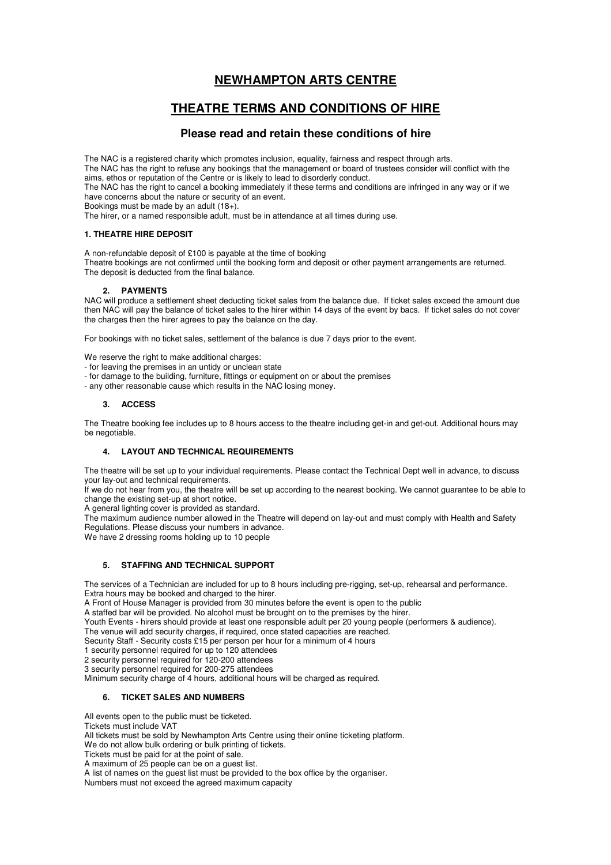# **NEWHAMPTON ARTS CENTRE**

# **THEATRE TERMS AND CONDITIONS OF HIRE**

# **Please read and retain these conditions of hire**

The NAC is a registered charity which promotes inclusion, equality, fairness and respect through arts.

The NAC has the right to refuse any bookings that the management or board of trustees consider will conflict with the aims, ethos or reputation of the Centre or is likely to lead to disorderly conduct.

The NAC has the right to cancel a booking immediately if these terms and conditions are infringed in any way or if we have concerns about the nature or security of an event.

Bookings must be made by an adult (18+).

The hirer, or a named responsible adult, must be in attendance at all times during use.

#### **1. THEATRE HIRE DEPOSIT**

A non-refundable deposit of £100 is payable at the time of booking Theatre bookings are not confirmed until the booking form and deposit or other payment arrangements are returned. The deposit is deducted from the final balance.

#### **2. PAYMENTS**

NAC will produce a settlement sheet deducting ticket sales from the balance due. If ticket sales exceed the amount due then NAC will pay the balance of ticket sales to the hirer within 14 days of the event by bacs. If ticket sales do not cover the charges then the hirer agrees to pay the balance on the day.

For bookings with no ticket sales, settlement of the balance is due 7 days prior to the event.

We reserve the right to make additional charges:

- for leaving the premises in an untidy or unclean state
- for damage to the building, furniture, fittings or equipment on or about the premises
- any other reasonable cause which results in the NAC losing money.

#### **3. ACCESS**

The Theatre booking fee includes up to 8 hours access to the theatre including get-in and get-out. Additional hours may be negotiable.

#### **4. LAYOUT AND TECHNICAL REQUIREMENTS**

The theatre will be set up to your individual requirements. Please contact the Technical Dept well in advance, to discuss your lay-out and technical requirements.

If we do not hear from you, the theatre will be set up according to the nearest booking. We cannot guarantee to be able to change the existing set-up at short notice.

A general lighting cover is provided as standard.

The maximum audience number allowed in the Theatre will depend on lay-out and must comply with Health and Safety Regulations. Please discuss your numbers in advance.

We have 2 dressing rooms holding up to 10 people

#### **5. STAFFING AND TECHNICAL SUPPORT**

The services of a Technician are included for up to 8 hours including pre-rigging, set-up, rehearsal and performance. Extra hours may be booked and charged to the hirer.

A Front of House Manager is provided from 30 minutes before the event is open to the public

A staffed bar will be provided. No alcohol must be brought on to the premises by the hirer.

Youth Events - hirers should provide at least one responsible adult per 20 young people (performers & audience).

The venue will add security charges, if required, once stated capacities are reached.

Security Staff - Security costs £15 per person per hour for a minimum of 4 hours

1 security personnel required for up to 120 attendees

2 security personnel required for 120-200 attendees

3 security personnel required for 200-275 attendees

Minimum security charge of 4 hours, additional hours will be charged as required.

### **6. TICKET SALES AND NUMBERS**

All events open to the public must be ticketed.

Tickets must include VAT

All tickets must be sold by Newhampton Arts Centre using their online ticketing platform.

We do not allow bulk ordering or bulk printing of tickets.

Tickets must be paid for at the point of sale.

A maximum of 25 people can be on a guest list.

A list of names on the guest list must be provided to the box office by the organiser.

Numbers must not exceed the agreed maximum capacity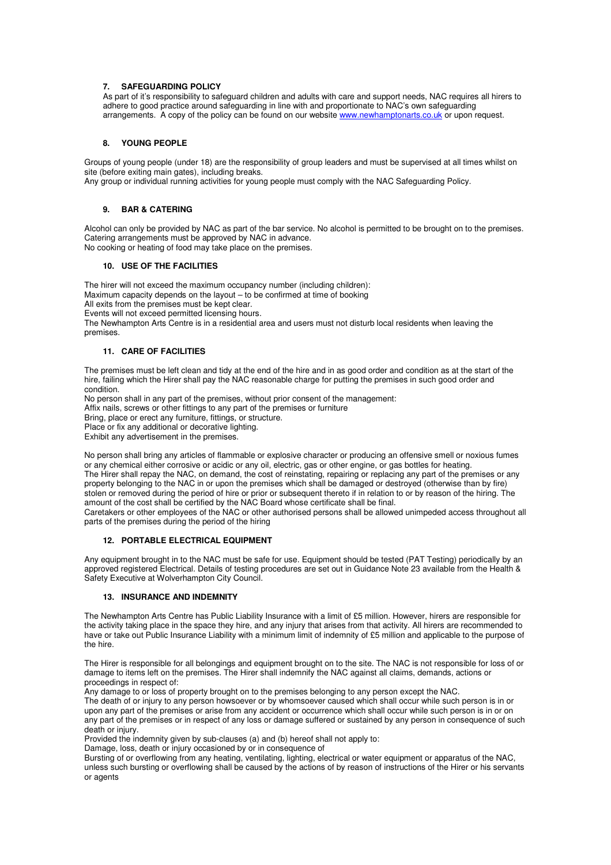#### **7. SAFEGUARDING POLICY**

As part of it's responsibility to safeguard children and adults with care and support needs, NAC requires all hirers to adhere to good practice around safeguarding in line with and proportionate to NAC's own safeguarding arrangements. A copy of the policy can be found on our website www.newhamptonarts.co.uk or upon request.

#### **8. YOUNG PEOPLE**

Groups of young people (under 18) are the responsibility of group leaders and must be supervised at all times whilst on site (before exiting main gates), including breaks.

Any group or individual running activities for young people must comply with the NAC Safeguarding Policy.

#### **9. BAR & CATERING**

Alcohol can only be provided by NAC as part of the bar service. No alcohol is permitted to be brought on to the premises. Catering arrangements must be approved by NAC in advance. No cooking or heating of food may take place on the premises.

#### **10. USE OF THE FACILITIES**

The hirer will not exceed the maximum occupancy number (including children): Maximum capacity depends on the layout – to be confirmed at time of booking All exits from the premises must be kept clear. Events will not exceed permitted licensing hours. The Newhampton Arts Centre is in a residential area and users must not disturb local residents when leaving the

premises.

#### **11. CARE OF FACILITIES**

The premises must be left clean and tidy at the end of the hire and in as good order and condition as at the start of the hire, failing which the Hirer shall pay the NAC reasonable charge for putting the premises in such good order and condition.

No person shall in any part of the premises, without prior consent of the management:

Affix nails, screws or other fittings to any part of the premises or furniture

Bring, place or erect any furniture, fittings, or structure.

Place or fix any additional or decorative lighting.

Exhibit any advertisement in the premises.

No person shall bring any articles of flammable or explosive character or producing an offensive smell or noxious fumes or any chemical either corrosive or acidic or any oil, electric, gas or other engine, or gas bottles for heating. The Hirer shall repay the NAC, on demand, the cost of reinstating, repairing or replacing any part of the premises or any property belonging to the NAC in or upon the premises which shall be damaged or destroyed (otherwise than by fire) stolen or removed during the period of hire or prior or subsequent thereto if in relation to or by reason of the hiring. The amount of the cost shall be certified by the NAC Board whose certificate shall be final.

Caretakers or other employees of the NAC or other authorised persons shall be allowed unimpeded access throughout all parts of the premises during the period of the hiring

#### **12. PORTABLE ELECTRICAL EQUIPMENT**

Any equipment brought in to the NAC must be safe for use. Equipment should be tested (PAT Testing) periodically by an approved registered Electrical. Details of testing procedures are set out in Guidance Note 23 available from the Health & Safety Executive at Wolverhampton City Council.

#### **13. INSURANCE AND INDEMNITY**

The Newhampton Arts Centre has Public Liability Insurance with a limit of £5 million. However, hirers are responsible for the activity taking place in the space they hire, and any injury that arises from that activity. All hirers are recommended to have or take out Public Insurance Liability with a minimum limit of indemnity of £5 million and applicable to the purpose of the hire.

The Hirer is responsible for all belongings and equipment brought on to the site. The NAC is not responsible for loss of or damage to items left on the premises. The Hirer shall indemnify the NAC against all claims, demands, actions or proceedings in respect of:

Any damage to or loss of property brought on to the premises belonging to any person except the NAC.

The death of or injury to any person howsoever or by whomsoever caused which shall occur while such person is in or upon any part of the premises or arise from any accident or occurrence which shall occur while such person is in or on any part of the premises or in respect of any loss or damage suffered or sustained by any person in consequence of such death or injury.

Provided the indemnity given by sub-clauses (a) and (b) hereof shall not apply to:

Damage, loss, death or injury occasioned by or in consequence of

Bursting of or overflowing from any heating, ventilating, lighting, electrical or water equipment or apparatus of the NAC, unless such bursting or overflowing shall be caused by the actions of by reason of instructions of the Hirer or his servants or agents